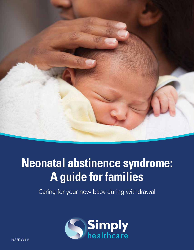

### **Neonatal abstinence syndrome: A guide for families**

Caring for your new baby during withdrawal

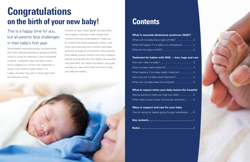# **Congratulations on the birth of your new baby!**

### This is a happy time for you, but all parents face challenges in their baby's first year.

Some babies need extra loving, including those born with neonatal abstinence syndrome (NAS), which is similar to medicine or drug withdrawal in adults. It happens when the baby is born and is suddenly cut off from the medicines or drugs in the mother's body. Within 1 to 5 days, the baby may start to show signs that something is wrong.

When will my baby show signs of NAS?.......... What will happen if my baby is in withdrawal?... What are the signs of NAS? ............................................ 2

How can I help my baby? ................................................ 3 Does my baby need medicine? ....................................... 3 What happens if my baby needs medicine?...... How long will my baby need treatment?.......... When can my baby leave the hospital? ...........

It's hard to know which babies will have NAS. Some babies will have it even though their mothers only took small doses of medicines for a brief time during pregnancy. Others may show signs because their mothers took large amounts of drugs for a long time while pregnant. Even babies whose mothers took their medicine exactly as prescribed by their health care provider may have NAS. No matter the reason, this guide will help you learn about NAS and how to help your baby be healthy.



### **Contents**

#### **What is neonatal abstinence syndrome (NAS)?**

#### **Treatment for babies with NAS — love, hugs and care**

#### **What to expect when your baby leaves the hospital**

Asking questions helps you help your baby....... When baby comes home, the journey continues.

#### **Ways to support and care for your baby**

Tips for caring for babies going through withdray

- **Key contacts............................................................** 7
- 



**Notes .......................................................................** 8

|  |  |  |  |  |  |  | . 2 |  |
|--|--|--|--|--|--|--|-----|--|
|  |  |  |  |  |  |  | . 2 |  |
|  |  |  |  |  |  |  | . 2 |  |

|  |  |  |  |  |  |  | . 3            |  |
|--|--|--|--|--|--|--|----------------|--|
|  |  |  |  |  |  |  | . 3            |  |
|  |  |  |  |  |  |  | . 4            |  |
|  |  |  |  |  |  |  | . 4            |  |
|  |  |  |  |  |  |  | . <u>. .</u> 4 |  |

|  |  |  |  |  |  | <u> 5</u>     |  |
|--|--|--|--|--|--|---------------|--|
|  |  |  |  |  |  | 3. <u>. 5</u> |  |

| wal 6 |  |  |  |  |  |
|-------|--|--|--|--|--|
|       |  |  |  |  |  |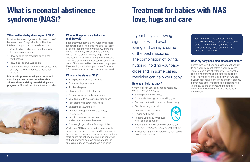# **What is neonatal abstinence syndrome (NAS)?**

## **Treatment for babies with NAS love, hugs and care**

#### **When will my baby show signs of NAS?**

Most babies show signs of withdrawal, or NAS, between 1 and 5 days after birth. The time it takes for signs to show can depend on:

- What kind of medicine or drug the mother took during pregnancy
- How much of the medicine or drug the mother took
- How long the drug was taken
- If the mother used other kinds of substances as well, like alcohol, tobacco, medicines or drugs

**It is very important to tell your nurse and your baby's health care providers about all medicines and drugs used during your pregnancy.** This will help them treat your baby.



#### **What will happen if my baby is in withdrawal?**

Soon after your baby's birth, nurses will check for certain signs. The nurse will give your baby a "score" depending on which NAS signs are present. Your baby will be scored every few hours until he or she is ready to go home. The scoring helps health care providers decide what kind of treatment your baby needs to get better. The nurses will explain the scoring to you. If something is not clear, please ask for more information until your questions are answered.

#### **What are the signs of NAS?**

- High-pitched cries or crankiness
- Stiff arms, legs and back
- Trouble sleeping
- Shaking, jitters or lots of sucking
- Not eating well or problems sucking
- Vomiting due to overeating or crankiness
- Fast breathing and/or stuffy nose
- Sneezing or yawning a lot
- Irritation on diaper area due to loose, watery stools
- Irritation on face, back of head, arms and/or legs due to restlessness
- Poor weight gain after a few days of life
- Staying close to your baby
- Continually holding and swaddling your baby
- Making skin-to-skin contact with your baby
- Gently rocking your baby
- Learning infant massage
- Plaving soft music
- Feeding your baby whenever he or she looks hungry
- Keeping things quiet and calm around your baby (few visitors, no noise, no bright lights)
- Breastfeeding (when approved by your baby's health care provider)



While rare, NAS can also lead to seizures (also called convulsions). They are hard to spot and can last seconds or minutes. Your baby may suddenly start jerking his or her arms and legs or may go stiff. You may also see eye rolling, staring, lip smacking, sucking or a change in skin color.

If your baby is showing signs of withdrawal, loving and caring is some of the best medicine. The combination of loving, hugging, holding your baby close and, in some cases, medicine can help your baby.

### **How can I help my baby?**

Whether or not your baby needs medicine, you can help your baby by:

Your nurse can help you learn how to swaddle your baby if you want to practice or do not know how. If you have any questions at all, please ask before you take your baby home.

#### **Does my baby need medicine to get better?**

Sometimes love, hugs and care are not enough to help your baby get better. If your baby has many strong signs of withdrawal, your health care provider may also prescribe medicine to help. The medicines that babies with NAS are given most often are morphine and methadone. Sometimes other medicines are added to help your baby during this time. Your health care provider can explain your baby's medicine in more detail.

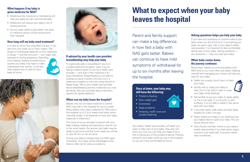#### **What happens if my baby is given medicine for NAS?**

- Medicines like morphine or methadone will help your baby be calm and comfortable.
- Medicines will reduce your baby's risk of having seizures.
- As your baby starts to get better, the dose of medicine slowly will be lowered and then stopped.

### **How long will my baby need treatment?**

It is hard to know how long NAS will last. It can last from one week up to many weeks. The length of withdrawal depends on the medicines or drugs — and the amounts — your baby was

exposed to during pregnancy. Spending time holding, feeding and learning to soothe your baby may help to make withdrawal time shorter. It will also help prepare you to care for your baby at home.

#### **If advised by your health care provider: breastfeeding may help your baby**

It is generally safe to breastfeed if you're in a stable treatment program, even if you're taking medicine given to you by a health care provider — and even if the medicine is for drug withdrawal. Breastfeeding is not safe for substance-using mothers who are not in a treatment program or who are using alcohol or illegal drugs. Talk to your health care provider about breastfeeding and the medicines you may be taking. Ask your provider about treatment options for opiate addiction.

- Problems feeding
- Slow weight gain
- Crankiness
- Sleep problems
- Sneezing, stuffy nose and trouble breathing

#### **When can my baby leave the hospital?**

Babies who do not need medicine to control NAS may stay in the hospital for up to a week. Many babies who need medicine for NAS stay in the hospital up to 3 to 4 weeks and rarely some may stay longer. It all depends on how your baby responds to treatment.

- Settle into a quiet, low-lit room to feed your baby.
- Gently rock or sway your baby to calm him or her. (Don't walk or sway your baby while feeding).



The more time you are able to spend with your baby holding, feeding and learning to care for his or her extra needs, the sooner your baby may be ready to go home and the more ready you will be to care for him or her at home.

During your baby's hospital stay, the NAS signs will lessen. Your baby will be discharged when there is little risk for serious problems.

- Remember to put your baby to sleep safely, on his or her back, in a crib with no soft surfaces. It is not safe to sleep in the same bed with your baby.
- If you feel upset, walk away and take deep breaths for a few minutes.
- Never shake your baby or put anything over your baby's face to quiet your baby. This can cause serious harm.
- Call a family member, friend or your baby's health care provider if you feel upset, angry, scared or just need help. Everyone needs help sometimes.

## **What to expect when your baby leaves the hospital**

Parent and family support can make a big difference in how fast a baby with NAS gets better. Babies can continue to have mild symptoms of withdrawal for up to six months after leaving the hospital.

#### **Once at home, your baby may still have the following:**

Your baby's health care provider will teach you ways to take care of your baby. They also will show you how you can help your baby if he or she is having any of the problems above. Practice caring for your baby while you are in the hospital so you are more comfortable at home.

#### **Asking questions helps you help your baby**

If you have any questions or concerns about your baby when you are at home or if something just does not seem right, talk to your baby's health care provider. It is important to feel comfortable taking care of your baby. Asking questions any questions — help *you* help your baby.

#### **When baby comes home, the journey continues**

Remember, babies cry a lot and babies with NAS tend to cry more often and easily. Helping yourself and managing your stress will help you care for your baby.



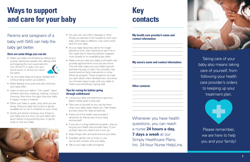\_\_\_\_\_\_\_\_\_\_\_\_\_\_\_\_\_\_\_\_\_\_\_\_\_\_\_\_\_\_\_\_\_\_\_\_\_\_\_\_\_\_\_ \_\_\_\_\_\_\_\_\_\_\_\_\_\_\_\_\_\_\_\_\_\_\_\_\_\_\_\_\_\_\_\_\_\_\_\_\_\_\_\_\_\_\_ \_\_\_\_\_\_\_\_\_\_\_\_\_\_\_\_\_\_\_\_\_\_\_\_\_\_\_\_\_\_\_\_\_\_\_\_\_\_\_\_\_\_\_ \_\_\_\_\_\_\_\_\_\_\_\_\_\_\_\_\_\_\_\_\_\_\_\_\_\_\_\_\_\_\_\_\_\_\_\_\_\_\_\_\_\_\_

\_\_\_\_\_\_\_\_\_\_\_\_\_\_\_\_\_\_\_\_\_\_\_\_\_\_\_\_\_\_\_\_\_\_\_\_\_\_\_\_\_\_\_ \_\_\_\_\_\_\_\_\_\_\_\_\_\_\_\_\_\_\_\_\_\_\_\_\_\_\_\_\_\_\_\_\_\_\_\_\_\_\_\_\_\_\_ \_\_\_\_\_\_\_\_\_\_\_\_\_\_\_\_\_\_\_\_\_\_\_\_\_\_\_\_\_\_\_\_\_\_\_\_\_\_\_\_\_\_\_ \_\_\_\_\_\_\_\_\_\_\_\_\_\_\_\_\_\_\_\_\_\_\_\_\_\_\_\_\_\_\_\_\_\_\_\_\_\_\_\_\_\_\_

\_\_\_\_\_\_\_\_\_\_\_\_\_\_\_\_\_\_\_\_\_\_\_\_\_\_\_\_\_\_\_\_\_\_\_\_\_\_\_\_\_\_\_ \_\_\_\_\_\_\_\_\_\_\_\_\_\_\_\_\_\_\_\_\_\_\_\_\_\_\_\_\_\_\_\_\_\_\_\_\_\_\_\_\_\_\_ \_\_\_\_\_\_\_\_\_\_\_\_\_\_\_\_\_\_\_\_\_\_\_\_\_\_\_\_\_\_\_\_\_\_\_\_\_\_\_\_\_\_\_ \_\_\_\_\_\_\_\_\_\_\_\_\_\_\_\_\_\_\_\_\_\_\_\_\_\_\_\_\_\_\_\_\_\_\_\_\_\_\_\_\_\_\_ \_\_\_\_\_\_\_\_\_\_\_\_\_\_\_\_\_\_\_\_\_\_\_\_\_\_\_\_\_\_\_\_\_\_\_\_\_\_\_\_\_\_\_ \_\_\_\_\_\_\_\_\_\_\_\_\_\_\_\_\_\_\_\_\_\_\_\_\_\_\_\_\_\_\_\_\_\_\_\_\_\_\_\_\_\_\_

• Make your baby comfortable by setting up a routine, letting few people visit, talking softly and keeping the room quiet and dim. Turn off the TV or radio, turn your phone down or off and turn down the lights.



## **Ways to support and care for your baby**

Parents and caregivers of a baby with NAS can help the baby get better.

#### **Here are some things you can do:**

- Let your baby sleep as long as needed and without being woken up suddenly.
- Make feeding time quiet and calm and burp your baby often.
- Learn to spot your baby's "I am upset" signs, whether yawning, sneezing, shaking, crying or frowning. Also know the signs that your baby is happy, hungry or relaxed.
- When your baby is upset, stop what you are doing, hold your baby skin-to-skin or gently swaddle him or her in a blanket on your chest.
- Gently and slowly introduce new things to your baby one at a time. Let your baby calm down before trying anything new, or gently sway or rock your baby.
- You also can use infant massage or other things you learned in the hospital to calm your baby. Each baby is different. Use what works best for your baby.
- As your baby becomes calmer for longer periods of time, start checking to see if he or she might like to have the blanket wrapped more loosely or try swaddling less often.
- Make sure you take your baby to all health care provider appointments once you are home. This will help make sure your baby's growth and learning stay on track. Your provider may recommend an Early Intervention or other follow-up program. These programs can help you learn about infant development, and show you the best ways to play with your baby to make sure everything is going well.

#### **Tips for caring for babies going through withdrawal**

- Loving your baby and learning to spot your baby's needs goes a long way.
- Take care of yourself so you can be there when your baby really needs you. Take breaks and ask others for help sometimes.
- Follow all of the health care provider's directions for taking care of your baby and yourself.
- If you are in a drug treatment program, stay as long as your health care provider says. If your provider says you need to be in one, go.
- Keep things calm and quiet around your baby.
- Swaddle, gently rock or sway, or use skin-to-skin contact with your baby.
- Talk to your baby softly and gently.

### **Key contacts**

**My health care provider's name and contact information:** 

#### **My nurse's name and contact information:**

#### **Other contacts:**

Whenever you have health questions, you can reach a nurse **24 hours a day, 7 days a week** at our Simply Healthcare Plans, Inc. 24-hour Nurse HelpLine.



Taking care of your baby also means taking care of yourself, from following your health care provider's orders to keeping up your treatment plan.



we are here to help you and your family!

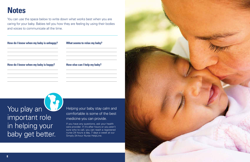V. You play an important role in helping your baby get better.

If you have any questions, ask your health care provider. If it's after hours or you aren't sure who to call, you can reach a registered nurse 24 hours a day, 7 days a week at our Simply 24-hour Nurse HelpLine.

### **Notes**

You can use the space below to write down what works best when you are caring for your baby. Babies tell you how they are feeling by using their bodies and voices to communicate all the time.

| How do I know when my baby is unhappy? | What seems to relax my baby? |
|----------------------------------------|------------------------------|
| How do I know when my baby is happy?   | How else can I help my baby? |
|                                        |                              |

### Helping your baby stay calm and comfortable is some of the best medicine you can provide.